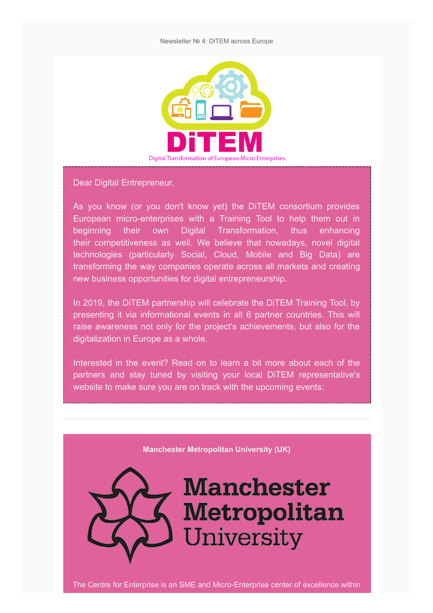

Dear Digital Entrepreneur,

As you know (or you don't know yet) the DiTEM consortium provides European micro-enterprises with a Training Tool to help them out in beginning their own Digital Transformation, thus enhancing their competitiveness as well. We believe that nowadays, novel digital technologies (particularly Social, Cloud, Mobile and Big Data) are transforming the way companies operate across all markets and creating new business opportunities for digital entrepreneurship.

In 2019, the DiTEM partnership will celebrate the DiTEM Training Tool, by presenting it via informational events in all 6 partner countries. This will raise awareness not only for the project's achievements, but also for the digitalization in Europe as a whole.

Interested in the event? Read on to learn a bit more about each of the partners and stay tuned by visiting your local DiTEM representative's website to make sure you are on track with the upcoming events:

**Manchester Metropolitan University (UK)**

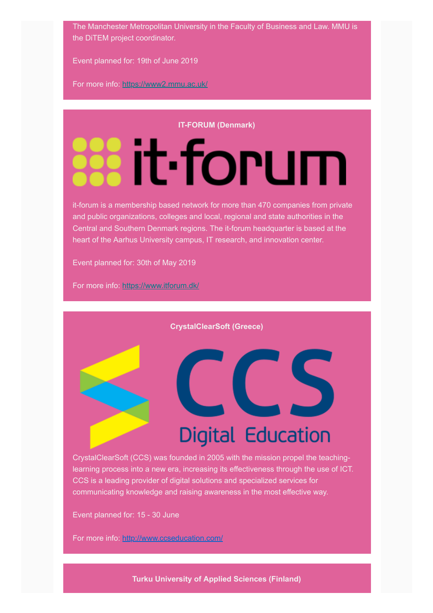The Manchester Metropolitan University in the Faculty of Business and Law. MMU is the DiTEM project coordinator.

Event planned for: 19th of June 2019

For more info: <https://www2.mmu.ac.uk/>

#### **IT-FORUM (Denmark)**

# **Wit-forum**

it-forum is a membership based network for more than 470 companies from private and public organizations, colleges and local, regional and state authorities in the Central and Southern Denmark regions. The it-forum headquarter is based at the heart of the Aarhus University campus, IT research, and innovation center.

Event planned for: 30th of May 2019

For more info: <https://www.itforum.dk/>

**CrystalClearSoft (Greece)**

## **Digital Education**

LS

CrystalClearSoft (CCS) was founded in 2005 with the mission propel the teachinglearning process into a new era, increasing its effectiveness through the use of ICT. CCS is a leading provider of digital solutions and specialized services for communicating knowledge and raising awareness in the most effective way.

Event planned for: 15 - 30 June

For more info: <http://www.ccseducation.com/>

**Turku University of Applied Sciences (Finland)**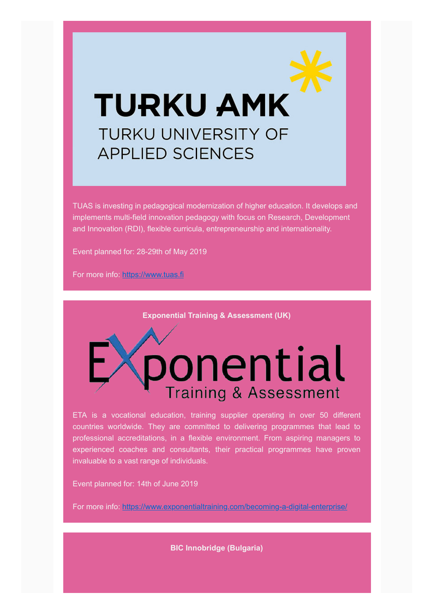## **TURKU AMK TURKU UNIVERSITY OF APPLIED SCIENCES**

TUAS is investing in pedagogical modernization of higher education. It develops and implements multi-field innovation pedagogy with focus on Research, Development and Innovation (RDI), flexible curricula, entrepreneurship and internationality.

Event planned for: 28-29th of May 2019

For more info: [https://www.tuas.fi](https://www.tuas.fi/)

**Exponential Training & Assessment (UK)**

ponential **Training & Assessment** 

ETA is a vocational education, training supplier operating in over 50 different countries worldwide. They are committed to delivering programmes that lead to professional accreditations, in a flexible environment. From aspiring managers to experienced coaches and consultants, their practical programmes have proven invaluable to a vast range of individuals.

Event planned for: 14th of June 2019

For more info: <https://www.exponentialtraining.com/becoming-a-digital-enterprise/>

**BIC Innobridge (Bulgaria)**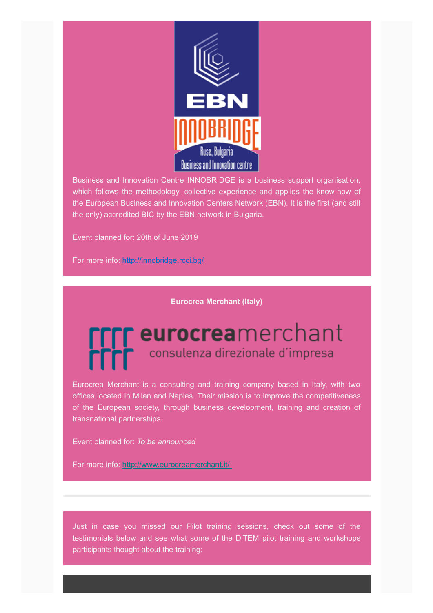

Business and Innovation Centre INNOBRIDGE is a business support organisation, which follows the methodology, collective experience and applies the know-how of the European Business and Innovation Centers Network (EBN). It is the first (and still the only) accredited BIC by the EBN network in Bulgaria.

Event planned for: 20th of June 2019

For more info: <http://innobridge.rcci.bg/>

**Eurocrea Merchant (Italy)**

### r eurocreamerchant consulenza direzionale d'impresa

Eurocrea Merchant is a consulting and training company based in Italy, with two offices located in Milan and Naples. Their mission is to improve the competitiveness of the European society, through business development, training and creation of transnational partnerships.

Event planned for: *To be announced*

For more info: http://www.eurocreamerchant.it/

Just in case you missed our Pilot training sessions, check out some of the testimonials below and see what some of the DiTEM pilot training and workshops participants thought about the training: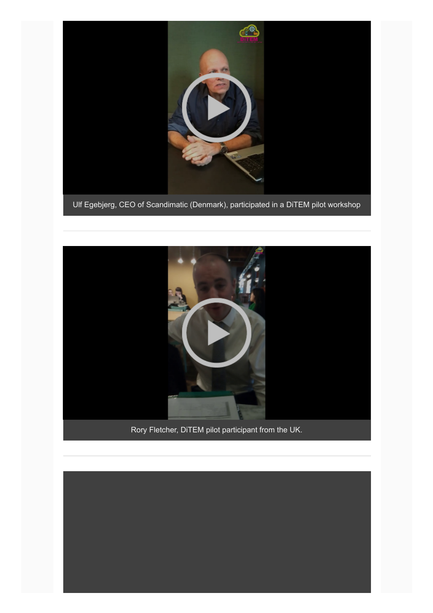